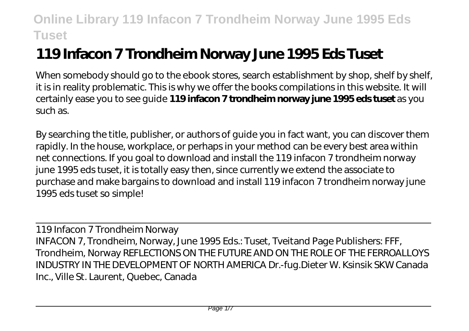# **119 Infacon 7 Trondheim Norway June 1995 Eds Tuset**

When somebody should go to the ebook stores, search establishment by shop, shelf by shelf, it is in reality problematic. This is why we offer the books compilations in this website. It will certainly ease you to see guide **119 infacon 7 trondheim norway june 1995 eds tuset** as you such as.

By searching the title, publisher, or authors of guide you in fact want, you can discover them rapidly. In the house, workplace, or perhaps in your method can be every best area within net connections. If you goal to download and install the 119 infacon 7 trondheim norway june 1995 eds tuset, it is totally easy then, since currently we extend the associate to purchase and make bargains to download and install 119 infacon 7 trondheim norway june 1995 eds tuset so simple!

119 Infacon 7 Trondheim Norway INFACON 7, Trondheim, Norway, June 1995 Eds.: Tuset, Tveitand Page Publishers: FFF, Trondheim, Norway REFLECTIONS ON THE FUTURE AND ON THE ROLE OF THE FERROALLOYS INDUSTRY IN THE DEVELOPMENT OF NORTH AMERICA Dr.-fug.Dieter W. Ksinsik SKW Canada Inc., Ville St. Laurent, Quebec, Canada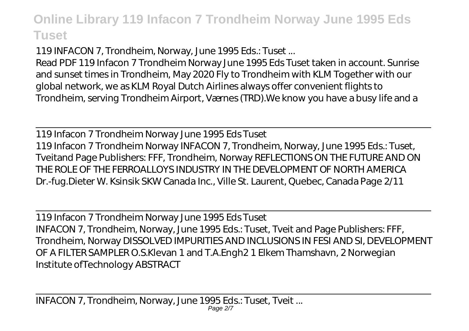119 INFACON 7, Trondheim, Norway, June 1995 Eds.: Tuset ...

Read PDF 119 Infacon 7 Trondheim Norway June 1995 Eds Tuset taken in account. Sunrise and sunset times in Trondheim, May 2020 Fly to Trondheim with KLM Together with our global network, we as KLM Royal Dutch Airlines always offer convenient flights to Trondheim, serving Trondheim Airport, Værnes (TRD).We know you have a busy life and a

119 Infacon 7 Trondheim Norway June 1995 Eds Tuset 119 Infacon 7 Trondheim Norway INFACON 7, Trondheim, Norway, June 1995 Eds.: Tuset, Tveitand Page Publishers: FFF, Trondheim, Norway REFLECTIONS ON THE FUTURE AND ON THE ROLE OF THE FERROALLOYS INDUSTRY IN THE DEVELOPMENT OF NORTH AMERICA Dr.-fug.Dieter W. Ksinsik SKW Canada Inc., Ville St. Laurent, Quebec, Canada Page 2/11

119 Infacon 7 Trondheim Norway June 1995 Eds Tuset INFACON 7, Trondheim, Norway, June 1995 Eds.: Tuset, Tveit and Page Publishers: FFF, Trondheim, Norway DISSOLVED IMPURITIES AND INCLUSIONS IN FESI AND SI, DEVELOPMENT OF A FILTER SAMPLER O.S.Klevan 1 and T.A.Engh2 1 Elkem Thamshavn, 2 Norwegian Institute ofTechnology ABSTRACT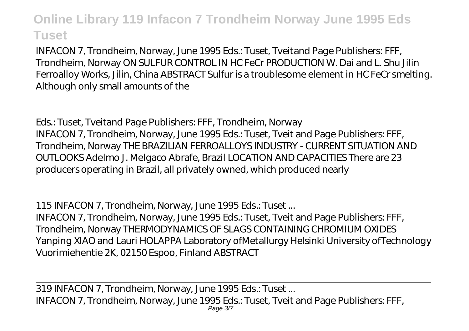INFACON 7, Trondheim, Norway, June 1995 Eds.: Tuset, Tveitand Page Publishers: FFF, Trondheim, Norway ON SULFUR CONTROL IN HC FeCr PRODUCTION W. Dai and L. Shu Jilin Ferroalloy Works, Jilin, China ABSTRACT Sulfur is a troublesome element in HC FeCr smelting. Although only small amounts of the

Eds.: Tuset, Tveitand Page Publishers: FFF, Trondheim, Norway INFACON 7, Trondheim, Norway, June 1995 Eds.: Tuset, Tveit and Page Publishers: FFF, Trondheim, Norway THE BRAZILIAN FERROALLOYS INDUSTRY - CURRENT SITUATION AND OUTLOOKS Adelmo J. Melgaco Abrafe, Brazil LOCATION AND CAPACITIES There are 23 producers operating in Brazil, all privately owned, which produced nearly

115 INFACON 7, Trondheim, Norway, June 1995 Eds.: Tuset ...

INFACON 7, Trondheim, Norway, June 1995 Eds.: Tuset, Tveit and Page Publishers: FFF, Trondheim, Norway THERMODYNAMICS OF SLAGS CONTAINING CHROMIUM OXIDES Yanping XIAO and Lauri HOLAPPA Laboratory ofMetallurgy Helsinki University ofTechnology Vuorimiehentie 2K, 02150 Espoo, Finland ABSTRACT

319 INFACON 7, Trondheim, Norway, June 1995 Eds.: Tuset ... INFACON 7, Trondheim, Norway, June 1995 Eds.: Tuset, Tveit and Page Publishers: FFF, Page 3/7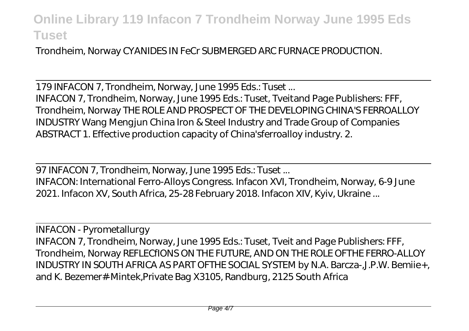Trondheim, Norway CYANIDES IN FeCr SUBMERGED ARC FURNACE PRODUCTION.

179 INFACON 7, Trondheim, Norway, June 1995 Eds.: Tuset ... INFACON 7, Trondheim, Norway, June 1995 Eds.: Tuset, Tveitand Page Publishers: FFF, Trondheim, Norway THE ROLE AND PROSPECT OF THE DEVELOPING CHINA'S FERROALLOY INDUSTRY Wang Mengjun China Iron & Steel Industry and Trade Group of Companies ABSTRACT 1. Effective production capacity of China'sferroalloy industry. 2.

97 INFACON 7, Trondheim, Norway, June 1995 Eds.: Tuset ...

INFACON: International Ferro-Alloys Congress. Infacon XVI, Trondheim, Norway, 6-9 June 2021. Infacon XV, South Africa, 25-28 February 2018. Infacon XIV, Kyiv, Ukraine ...

INFACON - Pyrometallurgy INFACON 7, Trondheim, Norway, June 1995 Eds.: Tuset, Tveit and Page Publishers: FFF, Trondheim, Norway REFLECfIONS ON THE FUTURE, AND ON THE ROLE OFTHE FERRO-ALLOY INDUSTRY IN SOUTH AFRICA AS PART OFTHE SOCIAL SYSTEM by N.A. Barcza-,J.P.W. Bemiie+, and K. Bezemer#-Mintek,Private Bag X3105, Randburg, 2125 South Africa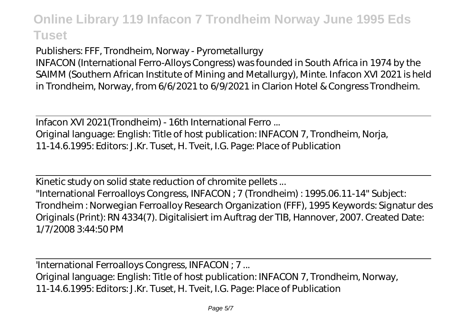Publishers: FFF, Trondheim, Norway - Pyrometallurgy INFACON (International Ferro-Alloys Congress) was founded in South Africa in 1974 by the SAIMM (Southern African Institute of Mining and Metallurgy), Minte. Infacon XVI 2021 is held in Trondheim, Norway, from 6/6/2021 to 6/9/2021 in Clarion Hotel & Congress Trondheim.

Infacon XVI 2021(Trondheim) - 16th International Ferro ... Original language: English: Title of host publication: INFACON 7, Trondheim, Norja, 11-14.6.1995: Editors: J.Kr. Tuset, H. Tveit, I.G. Page: Place of Publication

Kinetic study on solid state reduction of chromite pellets ... "International Ferroalloys Congress, INFACON ; 7 (Trondheim) : 1995.06.11-14" Subject: Trondheim : Norwegian Ferroalloy Research Organization (FFF), 1995 Keywords: Signatur des Originals (Print): RN 4334(7). Digitalisiert im Auftrag der TIB, Hannover, 2007. Created Date: 1/7/2008 3:44:50 PM

'International Ferroalloys Congress, INFACON ; 7 ... Original language: English: Title of host publication: INFACON 7, Trondheim, Norway, 11-14.6.1995: Editors: J.Kr. Tuset, H. Tveit, I.G. Page: Place of Publication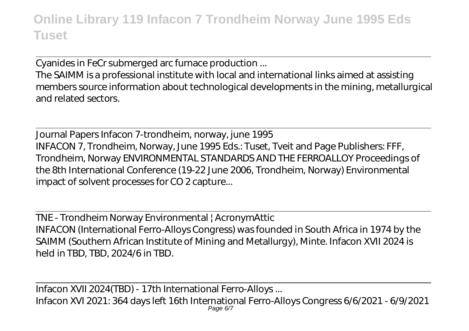Cyanides in FeCr submerged arc furnace production ...

The SAIMM is a professional institute with local and international links aimed at assisting members source information about technological developments in the mining, metallurgical and related sectors.

Journal Papers Infacon 7-trondheim, norway, june 1995 INFACON 7, Trondheim, Norway, June 1995 Eds.: Tuset, Tveit and Page Publishers: FFF, Trondheim, Norway ENVIRONMENTAL STANDARDS AND THE FERROALLOY Proceedings of the 8th International Conference (19-22 June 2006, Trondheim, Norway) Environmental impact of solvent processes for CO 2 capture...

TNE - Trondheim Norway Environmental | AcronymAttic INFACON (International Ferro-Alloys Congress) was founded in South Africa in 1974 by the SAIMM (Southern African Institute of Mining and Metallurgy), Minte. Infacon XVII 2024 is held in TBD, TBD, 2024/6 in TBD.

Infacon XVII 2024(TBD) - 17th International Ferro-Alloys ... Infacon XVI 2021: 364 days left 16th International Ferro-Alloys Congress 6/6/2021 - 6/9/2021 Page 6/7